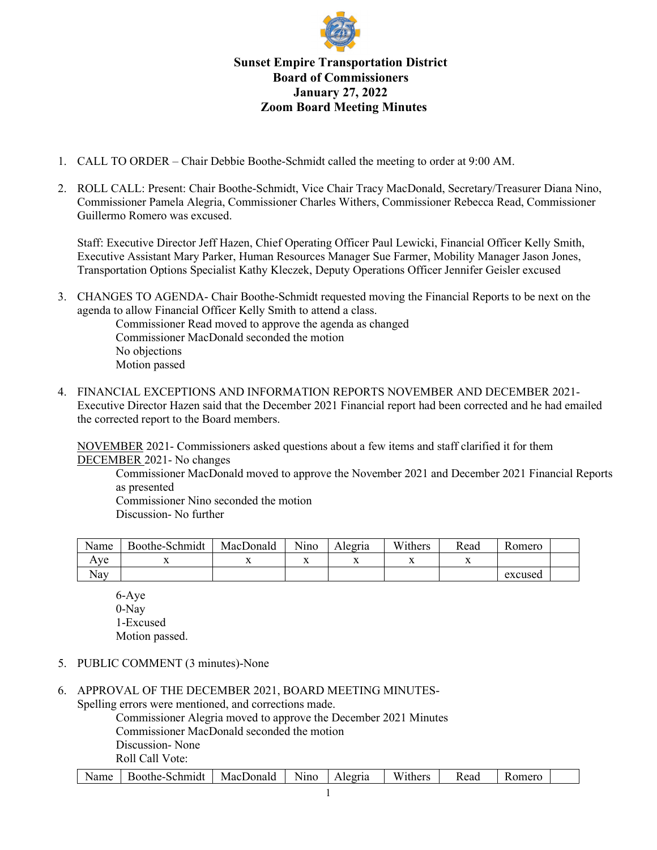

## **Sunset Empire Transportation District Board of Commissioners January 27, 2022 Zoom Board Meeting Minutes**

- 1. CALL TO ORDER Chair Debbie Boothe-Schmidt called the meeting to order at 9:00 AM.
- 2. ROLL CALL: Present: Chair Boothe-Schmidt, Vice Chair Tracy MacDonald, Secretary/Treasurer Diana Nino, Commissioner Pamela Alegria, Commissioner Charles Withers, Commissioner Rebecca Read, Commissioner Guillermo Romero was excused.

Staff: Executive Director Jeff Hazen, Chief Operating Officer Paul Lewicki, Financial Officer Kelly Smith, Executive Assistant Mary Parker, Human Resources Manager Sue Farmer, Mobility Manager Jason Jones, Transportation Options Specialist Kathy Kleczek, Deputy Operations Officer Jennifer Geisler excused

3. CHANGES TO AGENDA- Chair Boothe-Schmidt requested moving the Financial Reports to be next on the agenda to allow Financial Officer Kelly Smith to attend a class.

Commissioner Read moved to approve the agenda as changed Commissioner MacDonald seconded the motion No objections Motion passed

4. FINANCIAL EXCEPTIONS AND INFORMATION REPORTS NOVEMBER AND DECEMBER 2021- Executive Director Hazen said that the December 2021 Financial report had been corrected and he had emailed the corrected report to the Board members.

NOVEMBER 2021- Commissioners asked questions about a few items and staff clarified it for them DECEMBER 2021- No changes

Commissioner MacDonald moved to approve the November 2021 and December 2021 Financial Reports as presented

Commissioner Nino seconded the motion Discussion- No further

| Name | Boothe-Schmidt | MacDonald | Nino | Alegria | Withers | Read | Romero  |  |
|------|----------------|-----------|------|---------|---------|------|---------|--|
| Ave  |                |           | ∡⊾   |         | ∡⊾      | 77   |         |  |
| Nay  |                |           |      |         |         |      | excused |  |

6-Aye 0-Nay 1-Excused Motion passed.

- 5. PUBLIC COMMENT (3 minutes)-None
- 6. APPROVAL OF THE DECEMBER 2021, BOARD MEETING MINUTES-Spelling errors were mentioned, and corrections made.

Commissioner Alegria moved to approve the December 2021 Minutes Commissioner MacDonald seconded the motion Discussion- None Roll Call Vote: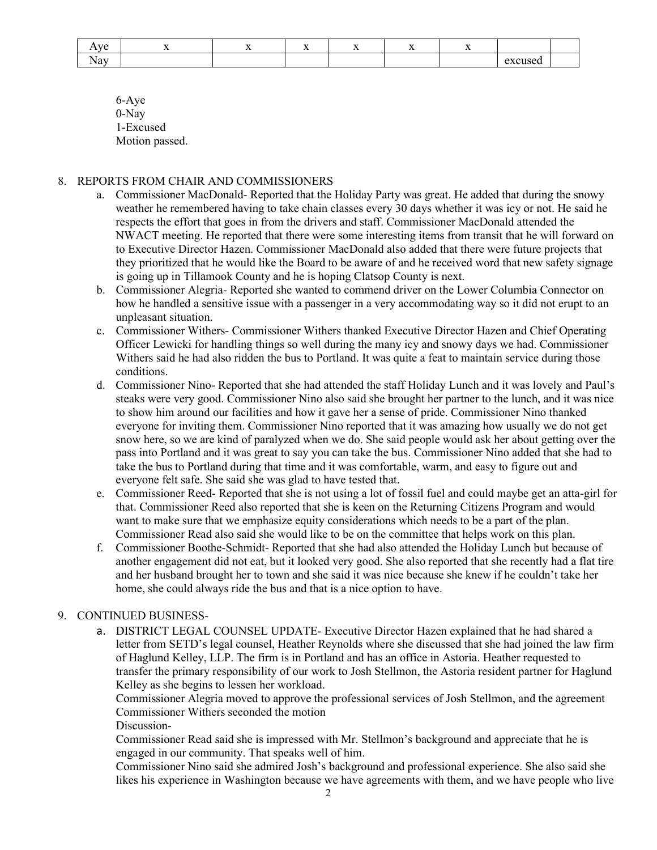| $-1$<br>. .       |  | -- |  | . . |                      |  |
|-------------------|--|----|--|-----|----------------------|--|
| avlatt.<br>$1$ va |  |    |  |     | 011000<br>100<br>. . |  |

6-Aye 0-Nay 1-Excused Motion passed.

## 8. REPORTS FROM CHAIR AND COMMISSIONERS

- a. Commissioner MacDonald- Reported that the Holiday Party was great. He added that during the snowy weather he remembered having to take chain classes every 30 days whether it was icy or not. He said he respects the effort that goes in from the drivers and staff. Commissioner MacDonald attended the NWACT meeting. He reported that there were some interesting items from transit that he will forward on to Executive Director Hazen. Commissioner MacDonald also added that there were future projects that they prioritized that he would like the Board to be aware of and he received word that new safety signage is going up in Tillamook County and he is hoping Clatsop County is next.
- b. Commissioner Alegria- Reported she wanted to commend driver on the Lower Columbia Connector on how he handled a sensitive issue with a passenger in a very accommodating way so it did not erupt to an unpleasant situation.
- c. Commissioner Withers- Commissioner Withers thanked Executive Director Hazen and Chief Operating Officer Lewicki for handling things so well during the many icy and snowy days we had. Commissioner Withers said he had also ridden the bus to Portland. It was quite a feat to maintain service during those conditions.
- d. Commissioner Nino- Reported that she had attended the staff Holiday Lunch and it was lovely and Paul's steaks were very good. Commissioner Nino also said she brought her partner to the lunch, and it was nice to show him around our facilities and how it gave her a sense of pride. Commissioner Nino thanked everyone for inviting them. Commissioner Nino reported that it was amazing how usually we do not get snow here, so we are kind of paralyzed when we do. She said people would ask her about getting over the pass into Portland and it was great to say you can take the bus. Commissioner Nino added that she had to take the bus to Portland during that time and it was comfortable, warm, and easy to figure out and everyone felt safe. She said she was glad to have tested that.
- e. Commissioner Reed- Reported that she is not using a lot of fossil fuel and could maybe get an atta-girl for that. Commissioner Reed also reported that she is keen on the Returning Citizens Program and would want to make sure that we emphasize equity considerations which needs to be a part of the plan. Commissioner Read also said she would like to be on the committee that helps work on this plan.
- f. Commissioner Boothe-Schmidt- Reported that she had also attended the Holiday Lunch but because of another engagement did not eat, but it looked very good. She also reported that she recently had a flat tire and her husband brought her to town and she said it was nice because she knew if he couldn't take her home, she could always ride the bus and that is a nice option to have.

## 9. CONTINUED BUSINESS-

a. DISTRICT LEGAL COUNSEL UPDATE- Executive Director Hazen explained that he had shared a letter from SETD's legal counsel, Heather Reynolds where she discussed that she had joined the law firm of Haglund Kelley, LLP. The firm is in Portland and has an office in Astoria. Heather requested to transfer the primary responsibility of our work to Josh Stellmon, the Astoria resident partner for Haglund Kelley as she begins to lessen her workload.

Commissioner Alegria moved to approve the professional services of Josh Stellmon, and the agreement Commissioner Withers seconded the motion

Discussion-

Commissioner Read said she is impressed with Mr. Stellmon's background and appreciate that he is engaged in our community. That speaks well of him.

Commissioner Nino said she admired Josh's background and professional experience. She also said she likes his experience in Washington because we have agreements with them, and we have people who live